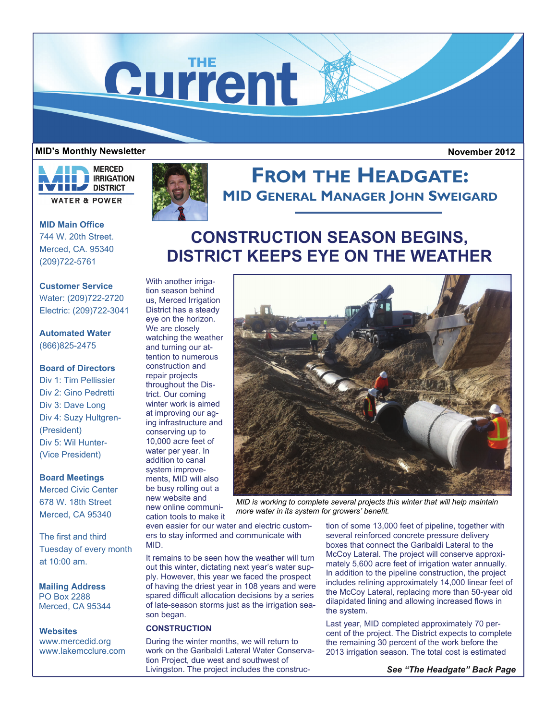**Current** 

#### **MID's Monthly Newsletter**

 **November 2012** 



**MID Main Office**  744 W. 20th Street. Merced, CA. 95340 (209)722-5761

**Customer Service**  Water: (209)722-2720 Electric: (209)722-3041

**Automated Water**  (866)825-2475

# **Board of Directors**

Div 1: Tim Pellissier Div 2: Gino Pedretti Div 3: Dave Long Div 4: Suzy Hultgren- (President) Div 5: Wil Hunter- (Vice President)

#### **Board Meetings**

Merced Civic Center 678 W. 18th Street Merced, CA 95340

The first and third Tuesday of every month at 10:00 am.

**Mailing Address**  PO Box 2288 Merced, CA 95344

**Websites**  www.mercedid.org www.lakemcclure.com



# **FROM THE HEADGATE: MID GENERAL MANAGER JOHN SWEIGARD**

# **CONSTRUCTION SEASON BEGINS, DISTRICT KEEPS EYE ON THE WEATHER**

With another irrigation season behind us, Merced Irrigation District has a steady eye on the horizon. We are closely watching the weather and turning our attention to numerous construction and repair projects throughout the District. Our coming winter work is aimed at improving our aging infrastructure and conserving up to 10,000 acre feet of water per year. In addition to canal system improvements, MID will also be busy rolling out a new website and

new online communi-



*MID is working to complete several projects this winter that will help maintain more water in its system for growers' benefit.* 

cation tools to make it even easier for our water and electric customers to stay informed and communicate with MID.

It remains to be seen how the weather will turn out this winter, dictating next year's water supply. However, this year we faced the prospect of having the driest year in 108 years and were spared difficult allocation decisions by a series of late-season storms just as the irrigation season began.

#### **CONSTRUCTION**

During the winter months, we will return to work on the Garibaldi Lateral Water Conservation Project, due west and southwest of Livingston. The project includes the construction of some 13,000 feet of pipeline, together with several reinforced concrete pressure delivery boxes that connect the Garibaldi Lateral to the McCoy Lateral. The project will conserve approximately 5,600 acre feet of irrigation water annually. In addition to the pipeline construction, the project includes relining approximately 14,000 linear feet of the McCoy Lateral, replacing more than 50-year old dilapidated lining and allowing increased flows in the system.

Last year, MID completed approximately 70 percent of the project. The District expects to complete the remaining 30 percent of the work before the 2013 irrigation season. The total cost is estimated

*See "The Headgate" Back Page*